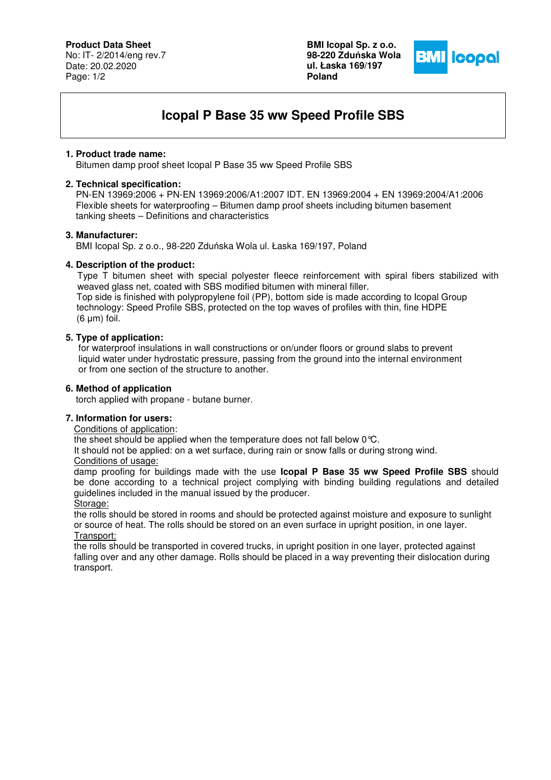**Product Data Sheet**

No: IT- 2/2014/eng rev.7 Date: 20.02.2020 Page: 1/2

**BMI Icopal Sp. z o.o. 98-220 Zdu**ń**ska Wola ul. Łaska 169/197 Poland** 



# **Icopal P Base 35 ww Speed Profile SBS**

## **1. Product trade name:**

Bitumen damp proof sheet Icopal P Base 35 ww Speed Profile SBS

#### **2. Technical specification:**

 PN-EN 13969:2006 + PN-EN 13969:2006/A1:2007 IDT. EN 13969:2004 + EN 13969:2004/A1:2006 Flexible sheets for waterproofing – Bitumen damp proof sheets including bitumen basement tanking sheets – Definitions and characteristics

## **3. Manufacturer:**

BMI Icopal Sp. z o.o., 98-220 Zduńska Wola ul. Łaska 169/197, Poland

## **4. Description of the product:**

 Type T bitumen sheet with special polyester fleece reinforcement with spiral fibers stabilized with weaved glass net, coated with SBS modified bitumen with mineral filler. Top side is finished with polypropylene foil (PP), bottom side is made according to Icopal Group technology: Speed Profile SBS, protected on the top waves of profiles with thin, fine HDPE (6 μm) foil.

## **5. Type of application:**

for waterproof insulations in wall constructions or on/under floors or ground slabs to prevent liquid water under hydrostatic pressure, passing from the ground into the internal environment or from one section of the structure to another.

## **6. Method of application**

torch applied with propane - butane burner.

#### **7. Information for users:**

Conditions of application:

the sheet should be applied when the temperature does not fall below 0°C.

It should not be applied: on a wet surface, during rain or snow falls or during strong wind.

#### Conditions of usage:

damp proofing for buildings made with the use **Icopal P Base 35 ww Speed Profile SBS** should be done according to a technical project complying with binding building regulations and detailed guidelines included in the manual issued by the producer.

Storage:

the rolls should be stored in rooms and should be protected against moisture and exposure to sunlight or source of heat. The rolls should be stored on an even surface in upright position, in one layer. Transport:

the rolls should be transported in covered trucks, in upright position in one layer, protected against falling over and any other damage. Rolls should be placed in a way preventing their dislocation during transport.